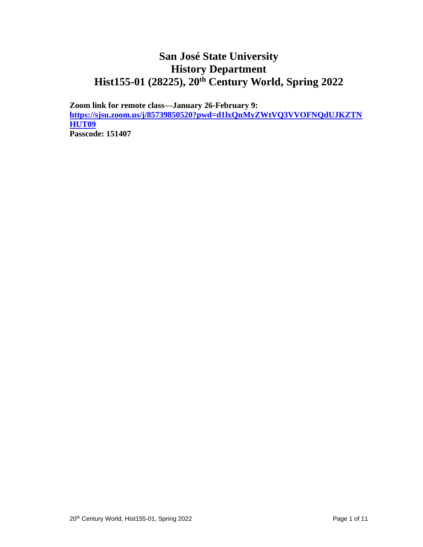## **San José State University History Department Hist155-01 (28225), 20th Century World, Spring 2022**

**Zoom link for remote class—January 26-February 9: [https://sjsu.zoom.us/j/85739850520?pwd=d1lxQnMyZWtVQ3VVOFNQdUJKZTN](https://sjsu.zoom.us/j/85739850520?pwd=d1lxQnMyZWtVQ3VVOFNQdUJKZTNHUT09) [HUT09](https://sjsu.zoom.us/j/85739850520?pwd=d1lxQnMyZWtVQ3VVOFNQdUJKZTNHUT09) Passcode: 151407**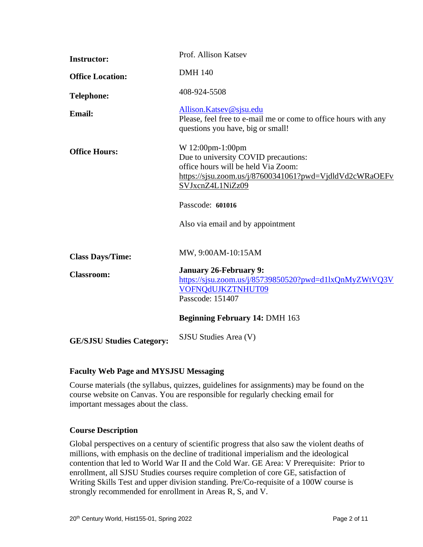| <b>Instructor:</b>               | Prof. Allison Katsev                                                                                                                                                           |
|----------------------------------|--------------------------------------------------------------------------------------------------------------------------------------------------------------------------------|
| <b>Office Location:</b>          | <b>DMH 140</b>                                                                                                                                                                 |
| <b>Telephone:</b>                | 408-924-5508                                                                                                                                                                   |
| <b>Email:</b>                    | Allison.Katsev@sjsu.edu<br>Please, feel free to e-mail me or come to office hours with any<br>questions you have, big or small!                                                |
| <b>Office Hours:</b>             | W 12:00pm-1:00pm<br>Due to university COVID precautions:<br>office hours will be held Via Zoom:<br>https://sjsu.zoom.us/j/87600341061?pwd=VjdldVd2cWRaOEFv<br>SVJxcnZ4L1NiZz09 |
|                                  | Passcode: 601016                                                                                                                                                               |
|                                  | Also via email and by appointment                                                                                                                                              |
| <b>Class Days/Time:</b>          | MW, 9:00AM-10:15AM                                                                                                                                                             |
| <b>Classroom:</b>                | <b>January 26-February 9:</b><br>https://sjsu.zoom.us/j/85739850520?pwd=d1lxQnMyZWtVQ3V<br>VOFNQdUJKZTNHUT09<br>Passcode: 151407                                               |
|                                  | <b>Beginning February 14: DMH 163</b>                                                                                                                                          |
| <b>GE/SJSU Studies Category:</b> | SJSU Studies Area (V)                                                                                                                                                          |

## **Faculty Web Page and MYSJSU Messaging**

Course materials (the syllabus, quizzes, guidelines for assignments) may be found on the course website on Canvas. You are responsible for regularly checking email for important messages about the class.

## **Course Description**

Global perspectives on a century of scientific progress that also saw the violent deaths of millions, with emphasis on the decline of traditional imperialism and the ideological contention that led to World War II and the Cold War. GE Area: V Prerequisite: Prior to enrollment, all SJSU Studies courses require completion of core GE, satisfaction of Writing Skills Test and upper division standing. Pre/Co-requisite of a 100W course is strongly recommended for enrollment in Areas R, S, and V.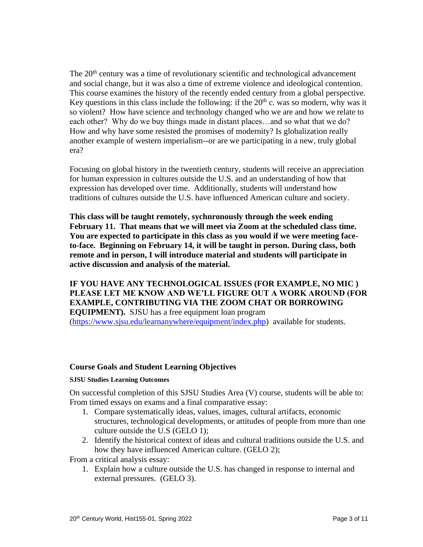The 20<sup>th</sup> century was a time of revolutionary scientific and technological advancement and social change, but it was also a time of extreme violence and ideological contention. This course examines the history of the recently ended century from a global perspective. Key questions in this class include the following: if the  $20<sup>th</sup>$  c. was so modern, why was it so violent? How have science and technology changed who we are and how we relate to each other? Why do we buy things made in distant places…and so what that we do? How and why have some resisted the promises of modernity? Is globalization really another example of western imperialism--or are we participating in a new, truly global era?

Focusing on global history in the twentieth century, students will receive an appreciation for human expression in cultures outside the U.S. and an understanding of how that expression has developed over time. Additionally, students will understand how traditions of cultures outside the U.S. have influenced American culture and society.

**This class will be taught remotely, sychnronously through the week ending February 11. That means that we will meet via Zoom at the scheduled class time. You are expected to participate in this class as you would if we were meeting faceto-face. Beginning on February 14, it will be taught in person. During class, both remote and in person, I will introduce material and students will participate in active discussion and analysis of the material.**

**IF YOU HAVE ANY TECHNOLOGICAL ISSUES (FOR EXAMPLE, NO MIC ) PLEASE LET ME KNOW AND WE'LL FIGURE OUT A WORK AROUND (FOR EXAMPLE, CONTRIBUTING VIA THE ZOOM CHAT OR BORROWING EQUIPMENT).** SJSU has a free equipment loan program [\(https://www.sjsu.edu/learnanywhere/equipment/index.php\)](https://www.sjsu.edu/learnanywhere/equipment/index.php) available for students.

## **Course Goals and Student Learning Objectives**

#### **SJSU Studies Learning Outcomes**

On successful completion of this SJSU Studies Area (V) course, students will be able to: From timed essays on exams and a final comparative essay:

- 1. Compare systematically ideas, values, images, cultural artifacts, economic structures, technological developments, or attitudes of people from more than one culture outside the U.S (GELO 1);
- 2. Identify the historical context of ideas and cultural traditions outside the U.S. and how they have influenced American culture. (GELO 2);

From a critical analysis essay:

1. Explain how a culture outside the U.S. has changed in response to internal and external pressures. (GELO 3).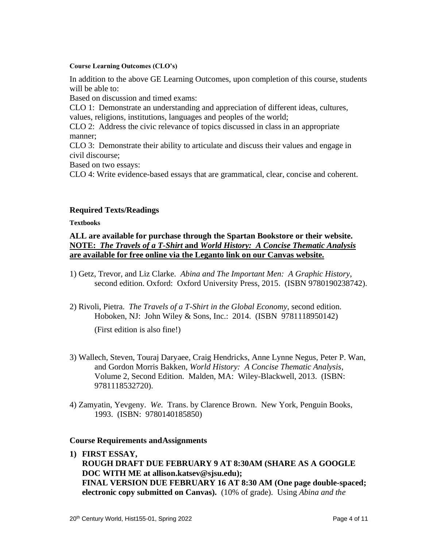#### **Course Learning Outcomes (CLO's)**

In addition to the above GE Learning Outcomes, upon completion of this course, students will be able to:

Based on discussion and timed exams:

CLO 1: Demonstrate an understanding and appreciation of different ideas, cultures, values, religions, institutions, languages and peoples of the world;

CLO 2: Address the civic relevance of topics discussed in class in an appropriate manner;

CLO 3: Demonstrate their ability to articulate and discuss their values and engage in civil discourse;

Based on two essays:

CLO 4: Write evidence-based essays that are grammatical, clear, concise and coherent.

## **Required Texts/Readings**

**Textbooks**

## **ALL are available for purchase through the Spartan Bookstore or their website. NOTE:** *The Travels of a T-Shirt* **and** *World History: A Concise Thematic Analysis* **are available for free online via the Leganto link on our Canvas website.**

- 1) Getz, Trevor, and Liz Clarke. *Abina and The Important Men: A Graphic History*, second edition. Oxford: Oxford University Press, 2015. (ISBN 9780190238742).
- 2) Rivoli, Pietra. *The Travels of a T-Shirt in the Global Economy*, second edition. Hoboken, NJ: John Wiley & Sons, Inc.: 2014. (ISBN 9781118950142)

(First edition is also fine!)

- 3) Wallech, Steven, Touraj Daryaee, Craig Hendricks, Anne Lynne Negus, Peter P. Wan, and Gordon Morris Bakken, *World History: A Concise Thematic Analysis*, Volume 2, Second Edition. Malden, MA: Wiley-Blackwell, 2013. (ISBN: 9781118532720).
- 4) Zamyatin, Yevgeny. *We*. Trans. by Clarence Brown. New York, Penguin Books, 1993. (ISBN: 9780140185850)

## **Course Requirements andAssignments**

**1) FIRST ESSAY,** 

**ROUGH DRAFT DUE FEBRUARY 9 AT 8:30AM (SHARE AS A GOOGLE DOC WITH ME at allison.katsev@sjsu.edu); FINAL VERSION DUE FEBRUARY 16 AT 8:30 AM (One page double-spaced; electronic copy submitted on Canvas).** (10% of grade). Using *Abina and the*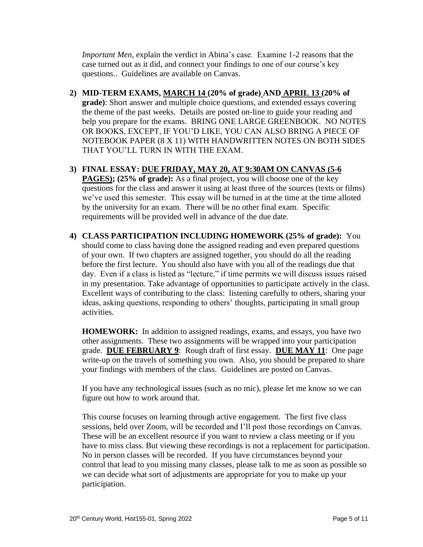*Important Men*, explain the verdict in Abina's case. Examine 1-2 reasons that the case turned out as it did, and connect your findings to one of our course's key questions.. Guidelines are available on Canvas.

- **2) MID-TERM EXAMS, MARCH 14 (20% of grade) AND APRIL 13 (20% of grade)**: Short answer and multiple choice questions, and extended essays covering the theme of the past weeks.Details are posted on-line to guide your reading and help you prepare for the exams. BRING ONE LARGE GREENBOOK. NO NOTES OR BOOKS, EXCEPT, IF YOU'D LIKE, YOU CAN ALSO BRING A PIECE OF NOTEBOOK PAPER (8 X 11) WITH HANDWRITTEN NOTES ON BOTH SIDES THAT YOU'LL TURN IN WITH THE EXAM.
- **3) FINAL ESSAY: DUE FRIDAY, MAY 20, AT 9:30AM ON CANVAS (5-6 PAGES); (25% of grade):** As a final project, you will choose one of the key questions for the class and answer it using at least three of the sources (texts or films) we've used this semester. This essay will be turned in at the time at the time alloted by the university for an exam. There will be no other final exam. Specific requirements will be provided well in advance of the due date.
- **4) CLASS PARTICIPATION INCLUDING HOMEWORK (25% of grade):** You should come to class having done the assigned reading and even prepared questions of your own. If two chapters are assigned together, you should do all the reading before the first lecture. You should also have with you all of the readings due that day. Even if a class is listed as "lecture," if time permits we will discuss issues raised in my presentation. Take advantage of opportunities to participate actively in the class. Excellent ways of contributing to the class: listening carefully to others, sharing your ideas, asking questions, responding to others' thoughts, participating in small group activities.

**HOMEWORK:** In addition to assigned readings, exams, and essays, you have two other assignments. These two assignments will be wrapped into your participation grade. **DUE FEBRUARY 9**: Rough draft of first essay. **DUE MAY 11**: One page write-up on the travels of something you own. Also, you should be prepared to share your findings with members of the class. Guidelines are posted on Canvas.

If you have any technological issues (such as no mic), please let me know so we can figure out how to work around that.

This course focuses on learning through active engagement. The first five class sessions, held over Zoom, will be recorded and I'll post those recordings on Canvas. These will be an excellent resource if you want to review a class meeting or if you have to miss class. But viewing these recordings is not a replacement for participation. No in person classes will be recorded. If you have circumstances beyond your control that lead to you missing many classes, please talk to me as soon as possible so we can decide what sort of adjustments are appropriate for you to make up your participation.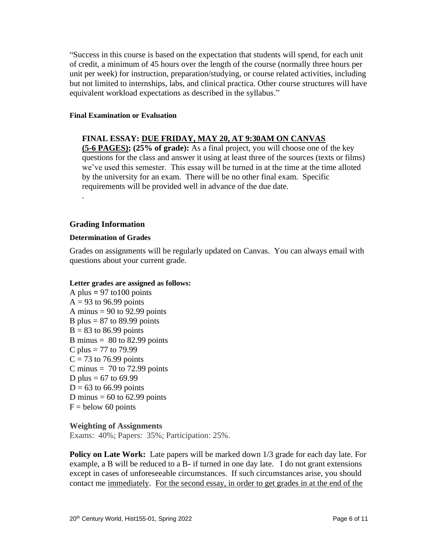"Success in this course is based on the expectation that students will spend, for each unit of credit, a minimum of 45 hours over the length of the course (normally three hours per unit per week) for instruction, preparation/studying, or course related activities, including but not limited to internships, labs, and clinical practica. Other course structures will have equivalent workload expectations as described in the syllabus."

#### **Final Examination or Evaluation**

## **FINAL ESSAY: DUE FRIDAY, MAY 20, AT 9:30AM ON CANVAS**

**(5-6 PAGES); (25% of grade):** As a final project, you will choose one of the key questions for the class and answer it using at least three of the sources (texts or films) we've used this semester. This essay will be turned in at the time at the time alloted by the university for an exam. There will be no other final exam. Specific requirements will be provided well in advance of the due date.

## **Grading Information**

.

#### **Determination of Grades**

Grades on assignments will be regularly updated on Canvas. You can always email with questions about your current grade.

#### **Letter grades are assigned as follows:**

A plus  $= 97$  to 100 points  $A = 93$  to 96.99 points A minus  $= 90$  to 92.99 points B plus  $= 87$  to 89.99 points  $B = 83$  to 86.99 points B minus  $= 80$  to 82.99 points C plus = 77 to 79.99  $C = 73$  to 76.99 points C minus  $= 70$  to 72.99 points D plus =  $67$  to  $69.99$  $D = 63$  to 66.99 points D minus  $= 60$  to 62.99 points  $F =$  below 60 points

## **Weighting of Assignments**

Exams: 40%; Papers: 35%; Participation: 25%.

**Policy on Late Work:** Late papers will be marked down 1/3 grade for each day late. For example, a B will be reduced to a B- if turned in one day late. I do not grant extensions except in cases of unforeseeable circumstances. If such circumstances arise, you should contact me immediately. For the second essay, in order to get grades in at the end of the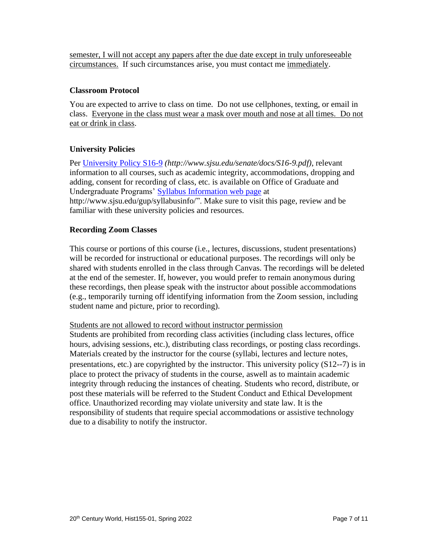semester, I will not accept any papers after the due date except in truly unforeseeable circumstances. If such circumstances arise, you must contact me immediately.

#### **Classroom Protocol**

You are expected to arrive to class on time. Do not use cellphones, texting, or email in class. Everyone in the class must wear a mask over mouth and nose at all times. Do not eat or drink in class.

## **University Policies**

Per [University Policy S16-9](http://www.sjsu.edu/senate/docs/S16-9.pdf) *(http://www.sjsu.edu/senate/docs/S16-9.pdf)*, relevant information to all courses, such as academic integrity, accommodations, dropping and adding, consent for recording of class, etc. is available on Office of Graduate and Undergraduate Programs' [Syllabus Information](http://www.sjsu.edu/gup/syllabusinfo/) web page at http://www.sjsu.edu/gup/syllabusinfo/". Make sure to visit this page, review and be familiar with these university policies and resources.

#### **Recording Zoom Classes**

This course or portions of this course (i.e., lectures, discussions, student presentations) will be recorded for instructional or educational purposes. The recordings will only be shared with students enrolled in the class through Canvas. The recordings will be deleted at the end of the semester. If, however, you would prefer to remain anonymous during these recordings, then please speak with the instructor about possible accommodations (e.g., temporarily turning off identifying information from the Zoom session, including student name and picture, prior to recording).

#### Students are not allowed to record without instructor permission

Students are prohibited from recording class activities (including class lectures, office hours, advising sessions, etc.), distributing class recordings, or posting class recordings. Materials created by the instructor for the course (syllabi, lectures and lecture notes, presentations, etc.) are copyrighted by the instructor. This university policy (S12-‐7) is in place to protect the privacy of students in the course, aswell as to maintain academic integrity through reducing the instances of cheating. Students who record, distribute, or post these materials will be referred to the Student Conduct and Ethical Development office. Unauthorized recording may violate university and state law. It is the responsibility of students that require special accommodations or assistive technology due to a disability to notify the instructor.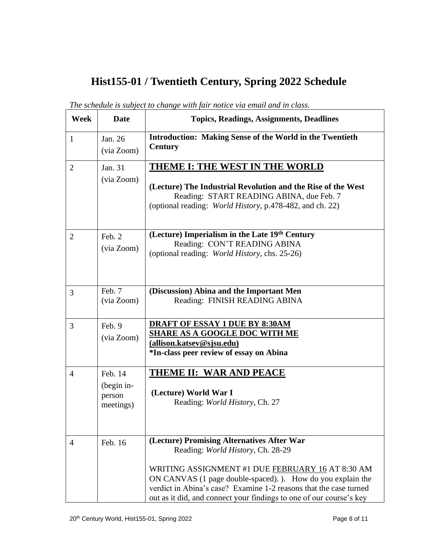# **Hist155-01 / Twentieth Century, Spring 2022 Schedule**

| <b>Week</b>    | <b>Date</b>                                  | <b>Topics, Readings, Assignments, Deadlines</b>                                                                                                                                                                                                                                                                                                |
|----------------|----------------------------------------------|------------------------------------------------------------------------------------------------------------------------------------------------------------------------------------------------------------------------------------------------------------------------------------------------------------------------------------------------|
| $\mathbf{1}$   | Jan. 26<br>(via Zoom)                        | <b>Introduction: Making Sense of the World in the Twentieth</b><br><b>Century</b>                                                                                                                                                                                                                                                              |
| $\overline{2}$ | Jan. 31<br>(via Zoom)                        | THEME I: THE WEST IN THE WORLD<br>(Lecture) The Industrial Revolution and the Rise of the West<br>Reading: START READING ABINA, due Feb. 7<br>(optional reading: World History, p.478-482, and ch. 22)                                                                                                                                         |
| $\overline{2}$ | Feb. 2<br>(via Zoom)                         | (Lecture) Imperialism in the Late 19th Century<br>Reading: CON'T READING ABINA<br>(optional reading: World History, chs. 25-26)                                                                                                                                                                                                                |
| 3              | Feb. 7<br>(via Zoom)                         | (Discussion) Abina and the Important Men<br>Reading: FINISH READING ABINA                                                                                                                                                                                                                                                                      |
| 3              | Feb. 9<br>(via Zoom)                         | <b>DRAFT OF ESSAY 1 DUE BY 8:30AM</b><br><b>SHARE AS A GOOGLE DOC WITH ME</b><br>(allison.katsev@sjsu.edu)<br>*In-class peer review of essay on Abina                                                                                                                                                                                          |
| $\overline{4}$ | Feb. 14<br>(begin in-<br>person<br>meetings) | <b>THEME II: WAR AND PEACE</b><br>(Lecture) World War I<br>Reading: World History, Ch. 27                                                                                                                                                                                                                                                      |
| 4              | Feb. 16                                      | (Lecture) Promising Alternatives After War<br>Reading: World History, Ch. 28-29<br>WRITING ASSIGNMENT #1 DUE FEBRUARY 16 AT 8:30 AM<br>ON CANVAS (1 page double-spaced). ). How do you explain the<br>verdict in Abina's case? Examine 1-2 reasons that the case turned<br>out as it did, and connect your findings to one of our course's key |

*The schedule is subject to change with fair notice via email and in class.*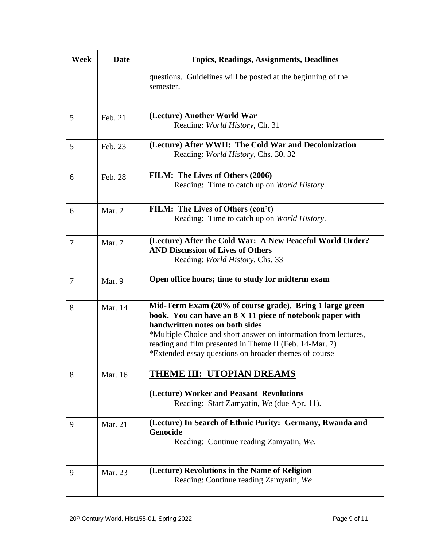| Week           | <b>Date</b> | <b>Topics, Readings, Assignments, Deadlines</b>                                                                                                                                                                                                                                                                                                 |
|----------------|-------------|-------------------------------------------------------------------------------------------------------------------------------------------------------------------------------------------------------------------------------------------------------------------------------------------------------------------------------------------------|
|                |             | questions. Guidelines will be posted at the beginning of the<br>semester.                                                                                                                                                                                                                                                                       |
|                |             |                                                                                                                                                                                                                                                                                                                                                 |
| 5              | Feb. 21     | (Lecture) Another World War<br>Reading: World History, Ch. 31                                                                                                                                                                                                                                                                                   |
| 5              | Feb. 23     | (Lecture) After WWII: The Cold War and Decolonization<br>Reading: World History, Chs. 30, 32                                                                                                                                                                                                                                                    |
| 6              | Feb. 28     | FILM: The Lives of Others (2006)<br>Reading: Time to catch up on World History.                                                                                                                                                                                                                                                                 |
| 6              | Mar. 2      | FILM: The Lives of Others (con't)<br>Reading: Time to catch up on World History.                                                                                                                                                                                                                                                                |
| $\overline{7}$ | Mar. 7      | (Lecture) After the Cold War: A New Peaceful World Order?<br><b>AND Discussion of Lives of Others</b><br>Reading: <i>World History</i> , Chs. 33                                                                                                                                                                                                |
| $\tau$         | Mar. 9      | Open office hours; time to study for midterm exam                                                                                                                                                                                                                                                                                               |
| 8              | Mar. 14     | Mid-Term Exam (20% of course grade). Bring 1 large green<br>book. You can have an 8 X 11 piece of notebook paper with<br>handwritten notes on both sides<br>*Multiple Choice and short answer on information from lectures,<br>reading and film presented in Theme II (Feb. 14-Mar. 7)<br>*Extended essay questions on broader themes of course |
| 8              | Mar. 16     | THEME III: UTOPIAN DREAMS                                                                                                                                                                                                                                                                                                                       |
|                |             | (Lecture) Worker and Peasant Revolutions<br>Reading: Start Zamyatin, We (due Apr. 11).                                                                                                                                                                                                                                                          |
| 9              | Mar. 21     | (Lecture) In Search of Ethnic Purity: Germany, Rwanda and<br>Genocide<br>Reading: Continue reading Zamyatin, We.                                                                                                                                                                                                                                |
| 9              | Mar. 23     | (Lecture) Revolutions in the Name of Religion<br>Reading: Continue reading Zamyatin, We.                                                                                                                                                                                                                                                        |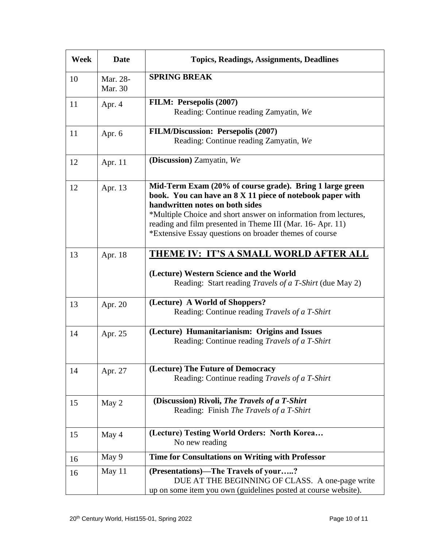| Week | <b>Date</b>         | <b>Topics, Readings, Assignments, Deadlines</b>                                                                                                                                                                                                                                                                                                    |
|------|---------------------|----------------------------------------------------------------------------------------------------------------------------------------------------------------------------------------------------------------------------------------------------------------------------------------------------------------------------------------------------|
| 10   | Mar. 28-<br>Mar. 30 | <b>SPRING BREAK</b>                                                                                                                                                                                                                                                                                                                                |
| 11   | Apr. 4              | FILM: Persepolis (2007)<br>Reading: Continue reading Zamyatin, We                                                                                                                                                                                                                                                                                  |
| 11   | Apr. 6              | <b>FILM/Discussion: Persepolis (2007)</b><br>Reading: Continue reading Zamyatin, We                                                                                                                                                                                                                                                                |
| 12   | Apr. 11             | (Discussion) Zamyatin, We                                                                                                                                                                                                                                                                                                                          |
| 12   | Apr. 13             | Mid-Term Exam (20% of course grade). Bring 1 large green<br>book. You can have an 8 X 11 piece of notebook paper with<br>handwritten notes on both sides<br>*Multiple Choice and short answer on information from lectures,<br>reading and film presented in Theme III (Mar. 16-Apr. 11)<br>*Extensive Essay questions on broader themes of course |
| 13   | Apr. 18             | <u>THEME IV: IT'S A SMALL WORLD AFTER ALL</u><br>(Lecture) Western Science and the World<br>Reading: Start reading <i>Travels of a T-Shirt</i> (due May 2)                                                                                                                                                                                         |
| 13   | Apr. 20             | (Lecture) A World of Shoppers?<br>Reading: Continue reading Travels of a T-Shirt                                                                                                                                                                                                                                                                   |
| 14   | Apr. 25             | (Lecture) Humanitarianism: Origins and Issues<br>Reading: Continue reading Travels of a T-Shirt                                                                                                                                                                                                                                                    |
| 14   | Apr. 27             | (Lecture) The Future of Democracy<br>Reading: Continue reading Travels of a T-Shirt                                                                                                                                                                                                                                                                |
| 15   | May 2               | (Discussion) Rivoli, The Travels of a T-Shirt<br>Reading: Finish The Travels of a T-Shirt                                                                                                                                                                                                                                                          |
| 15   | May 4               | (Lecture) Testing World Orders: North Korea<br>No new reading                                                                                                                                                                                                                                                                                      |
| 16   | May 9               | Time for Consultations on Writing with Professor                                                                                                                                                                                                                                                                                                   |
| 16   | May 11              | (Presentations)-The Travels of your?<br>DUE AT THE BEGINNING OF CLASS. A one-page write<br>up on some item you own (guidelines posted at course website).                                                                                                                                                                                          |